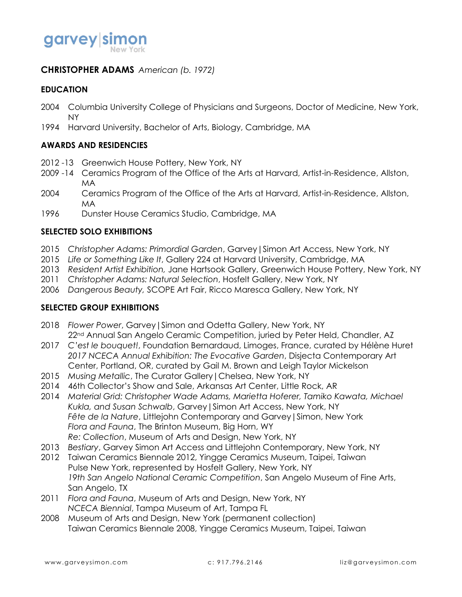

## **CHRISTOPHER ADAMS** *American (b. 1972)*

#### **EDUCATION**

- 2004 Columbia University College of Physicians and Surgeons, Doctor of Medicine, New York, NY
- 1994 Harvard University, Bachelor of Arts, Biology, Cambridge, MA

#### **AWARDS AND RESIDENCIES**

- 2012 -13 Greenwich House Pottery, New York, NY
- 2009 -14 Ceramics Program of the Office of the Arts at Harvard, Artist-in-Residence, Allston, MA
- 2004 Ceramics Program of the Office of the Arts at Harvard, Artist-in-Residence, Allston, MA
- 1996 Dunster House Ceramics Studio, Cambridge, MA

#### **SELECTED SOLO EXHIBITIONS**

- 2015 *Christopher Adams: Primordial Garden*, Garvey|Simon Art Access, New York, NY
- 2015 *Life or Something Like It*, Gallery 224 at Harvard University, Cambridge, MA
- 2013 *Resident Artist Exhibition,* Jane Hartsook Gallery, Greenwich House Pottery, New York, NY
- 2011 *Christopher Adams: Natural Selection*, Hosfelt Gallery, New York, NY
- 2006 *Dangerous Beauty,* SCOPE Art Fair, Ricco Maresca Gallery, New York, NY

#### **SELECTED GROUP EXHIBITIONS**

- 2018 *Flower Power*, Garvey|Simon and Odetta Gallery, New York, NY 22<sup>nd</sup> Annual San Angelo Ceramic Competition, juried by Peter Held, Chandler, AZ
- 2017 *C'est le bouquet!*, Foundation Bernardaud, Limoges, France, curated by Hélène Huret *2017 NCECA Annual Exhibition: The Evocative Garden*, Disjecta Contemporary Art Center, Portland, OR, curated by Gail M. Brown and Leigh Taylor Mickelson
- 2015 *Musing Metallic*, The Curator Gallery|Chelsea, New York, NY
- 2014 46th Collector's Show and Sale, Arkansas Art Center, Little Rock, AR
- 2014 *Material Grid: Christopher Wade Adams, Marietta Hoferer, Tamiko Kawata, Michael Kukla, and Susan Schwalb*, Garvey|Simon Art Access, New York, NY *Fête de la Nature*, Littlejohn Contemporary and Garvey|Simon, New York *Flora and Fauna*, The Brinton Museum, Big Horn, WY *Re: Collection*, Museum of Arts and Design, New York, NY
- 2013 *Bestiary*, Garvey Simon Art Access and Littlejohn Contemporary, New York, NY
- 2012 Taiwan Ceramics Biennale 2012, Yingge Ceramics Museum, Taipei, Taiwan Pulse New York, represented by Hosfelt Gallery, New York, NY *19th San Angelo National Ceramic Competition*, San Angelo Museum of Fine Arts, San Angelo, TX
- 2011 *Flora and Fauna*, Museum of Arts and Design, New York, NY *NCECA Biennial*, Tampa Museum of Art, Tampa FL
- 2008 Museum of Arts and Design, New York (permanent collection) Taiwan Ceramics Biennale 2008, Yingge Ceramics Museum, Taipei, Taiwan